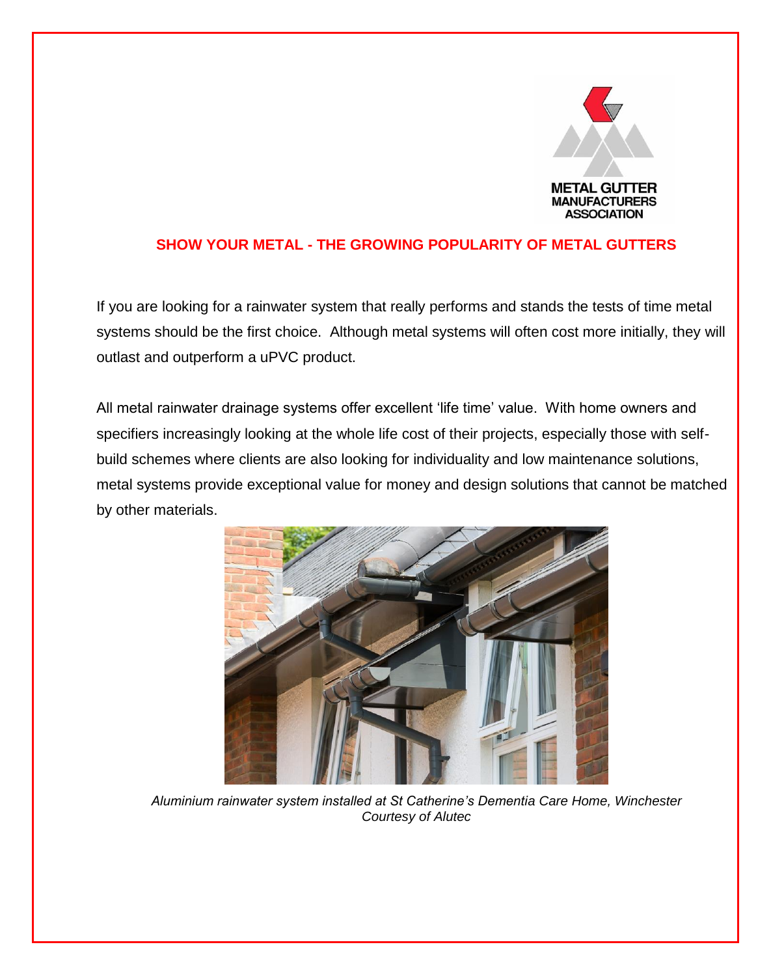

# **SHOW YOUR METAL - THE GROWING POPULARITY OF METAL GUTTERS**

If you are looking for a rainwater system that really performs and stands the tests of time metal systems should be the first choice. Although metal systems will often cost more initially, they will outlast and outperform a uPVC product.

All metal rainwater drainage systems offer excellent 'life time' value. With home owners and specifiers increasingly looking at the whole life cost of their projects, especially those with selfbuild schemes where clients are also looking for individuality and low maintenance solutions, metal systems provide exceptional value for money and design solutions that cannot be matched by other materials.



*Aluminium rainwater system installed at St Catherine's Dementia Care Home, Winchester Courtesy of Alutec*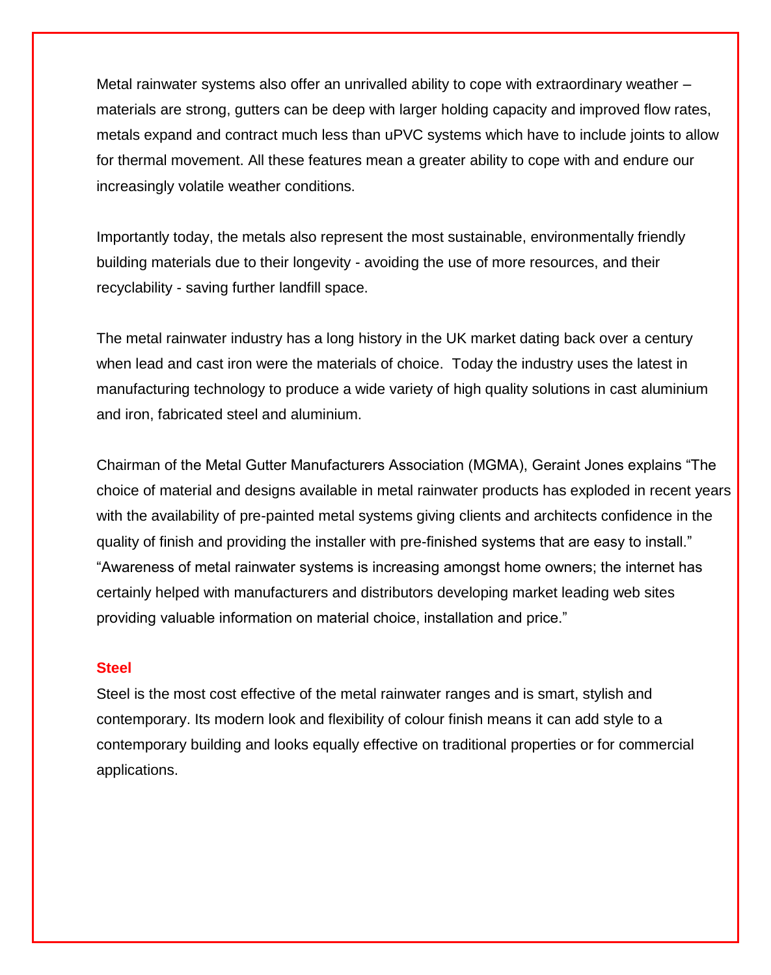Metal rainwater systems also offer an unrivalled ability to cope with extraordinary weather – materials are strong, gutters can be deep with larger holding capacity and improved flow rates, metals expand and contract much less than uPVC systems which have to include joints to allow for thermal movement. All these features mean a greater ability to cope with and endure our increasingly volatile weather conditions.

Importantly today, the metals also represent the most sustainable, environmentally friendly building materials due to their longevity - avoiding the use of more resources, and their recyclability - saving further landfill space.

The metal rainwater industry has a long history in the UK market dating back over a century when lead and cast iron were the materials of choice. Today the industry uses the latest in manufacturing technology to produce a wide variety of high quality solutions in cast aluminium and iron, fabricated steel and aluminium.

Chairman of the Metal Gutter Manufacturers Association (MGMA), Geraint Jones explains "The choice of material and designs available in metal rainwater products has exploded in recent years with the availability of pre-painted metal systems giving clients and architects confidence in the quality of finish and providing the installer with pre-finished systems that are easy to install." "Awareness of metal rainwater systems is increasing amongst home owners; the internet has certainly helped with manufacturers and distributors developing market leading web sites providing valuable information on material choice, installation and price."

### **Steel**

Steel is the most cost effective of the metal rainwater ranges and is smart, stylish and contemporary. Its modern look and flexibility of colour finish means it can add style to a contemporary building and looks equally effective on traditional properties or for commercial applications.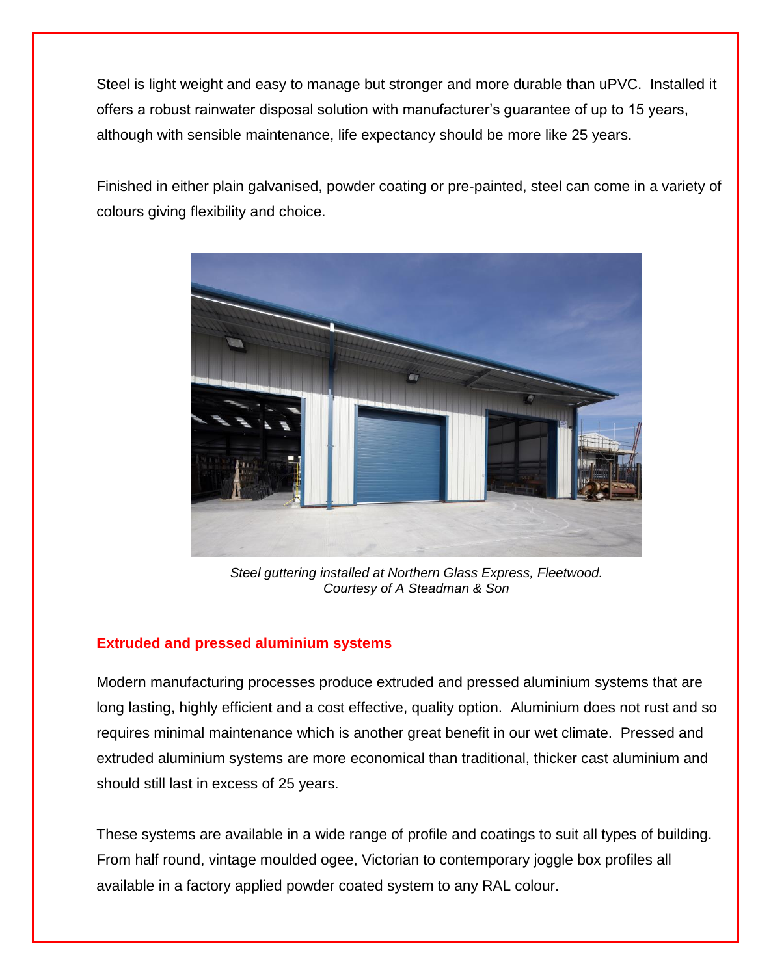Steel is light weight and easy to manage but stronger and more durable than uPVC. Installed it offers a robust rainwater disposal solution with manufacturer's guarantee of up to 15 years, although with sensible maintenance, life expectancy should be more like 25 years.

Finished in either plain galvanised, powder coating or pre-painted, steel can come in a variety of colours giving flexibility and choice.



*Steel guttering installed at Northern Glass Express, Fleetwood. Courtesy of A Steadman & Son*

## **Extruded and pressed aluminium systems**

Modern manufacturing processes produce extruded and pressed aluminium systems that are long lasting, highly efficient and a cost effective, quality option. Aluminium does not rust and so requires minimal maintenance which is another great benefit in our wet climate. Pressed and extruded aluminium systems are more economical than traditional, thicker cast aluminium and should still last in excess of 25 years.

These systems are available in a wide range of profile and coatings to suit all types of building. From half round, vintage moulded ogee, Victorian to contemporary joggle box profiles all available in a factory applied powder coated system to any RAL colour.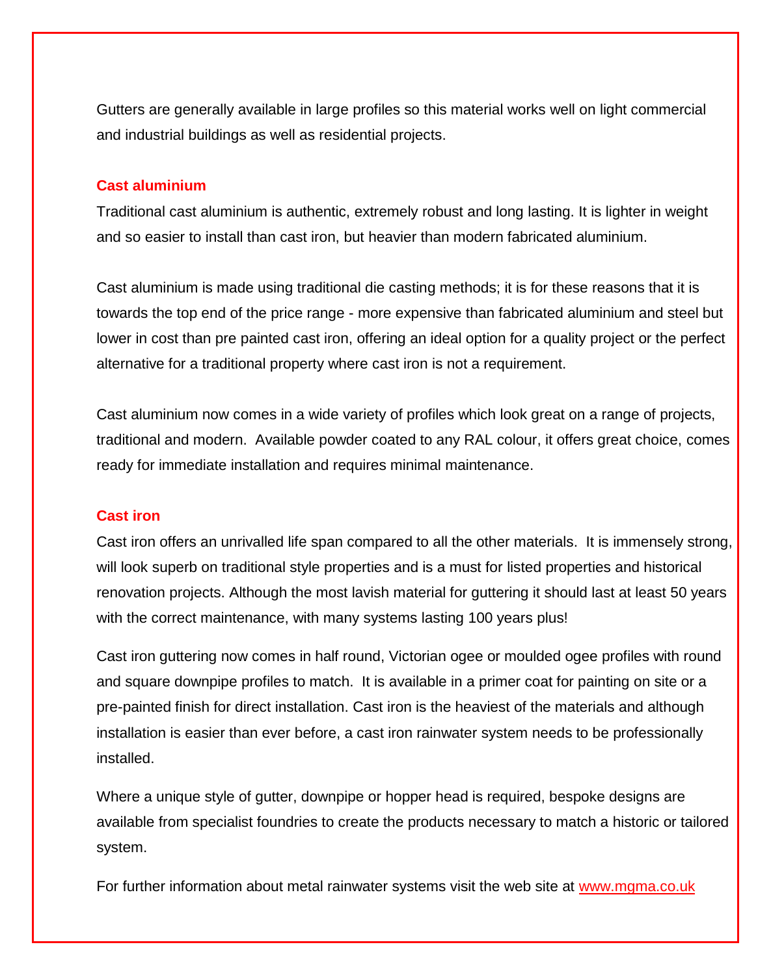Gutters are generally available in large profiles so this material works well on light commercial and industrial buildings as well as residential projects.

## **Cast aluminium**

Traditional cast aluminium is authentic, extremely robust and long lasting. It is lighter in weight and so easier to install than cast iron, but heavier than modern fabricated aluminium.

Cast aluminium is made using traditional die casting methods; it is for these reasons that it is towards the top end of the price range - more expensive than fabricated aluminium and steel but lower in cost than pre painted cast iron, offering an ideal option for a quality project or the perfect alternative for a traditional property where cast iron is not a requirement.

Cast aluminium now comes in a wide variety of profiles which look great on a range of projects, traditional and modern. Available powder coated to any RAL colour, it offers great choice, comes ready for immediate installation and requires minimal maintenance.

### **Cast iron**

Cast iron offers an unrivalled life span compared to all the other materials. It is immensely strong, will look superb on traditional style properties and is a must for listed properties and historical renovation projects. Although the most lavish material for guttering it should last at least 50 years with the correct maintenance, with many systems lasting 100 years plus!

Cast iron guttering now comes in half round, Victorian ogee or moulded ogee profiles with round and square downpipe profiles to match. It is available in a primer coat for painting on site or a pre-painted finish for direct installation. Cast iron is the heaviest of the materials and although installation is easier than ever before, a cast iron rainwater system needs to be professionally installed.

Where a unique style of gutter, downpipe or hopper head is required, bespoke designs are available from specialist foundries to create the products necessary to match a historic or tailored system.

For further information about metal rainwater systems visit the web site at [www.mgma.co.uk](http://www.mgma.co.uk/)